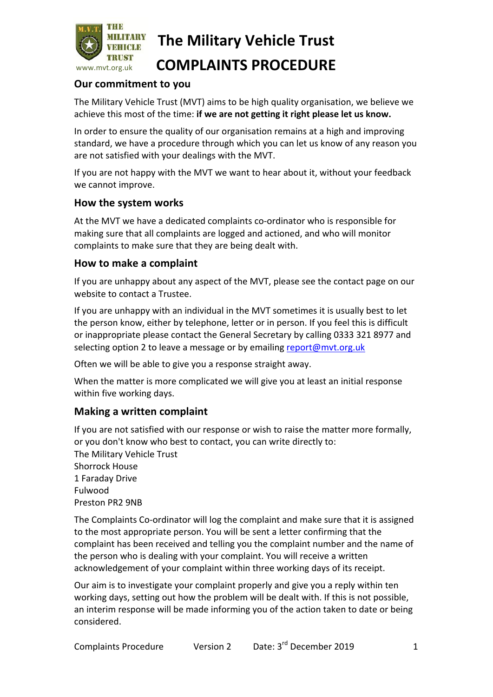

# **The Military Vehicle Trust**

### **COMPLAINTS PROCEDURE**

#### **Our commitment to you**

The Military Vehicle Trust (MVT) aims to be high quality organisation, we believe we achieve this most of the time: if we are not getting it right please let us know.

In order to ensure the quality of our organisation remains at a high and improving standard, we have a procedure through which you can let us know of any reason you are not satisfied with your dealings with the MVT.

If you are not happy with the MVT we want to hear about it, without your feedback we cannot improve.

#### **How the system works**

At the MVT we have a dedicated complaints co-ordinator who is responsible for making sure that all complaints are logged and actioned, and who will monitor complaints to make sure that they are being dealt with.

#### **How to make a complaint**

If you are unhappy about any aspect of the MVT, please see the contact page on our website to contact a Trustee.

If you are unhappy with an individual in the MVT sometimes it is usually best to let the person know, either by telephone, letter or in person. If you feel this is difficult or inappropriate please contact the General Secretary by calling 0333 321 8977 and selecting option 2 to leave a message or by emailing report@mvt.org.uk

Often we will be able to give you a response straight away.

When the matter is more complicated we will give you at least an initial response within five working days.

#### **Making a written complaint**

If you are not satisfied with our response or wish to raise the matter more formally, or you don't know who best to contact, you can write directly to: The Military Vehicle Trust Shorrock House 1 Faraday Drive Fulwood Preston PR2 9NB

The Complaints Co-ordinator will log the complaint and make sure that it is assigned to the most appropriate person. You will be sent a letter confirming that the complaint has been received and telling you the complaint number and the name of the person who is dealing with your complaint. You will receive a written acknowledgement of your complaint within three working days of its receipt.

Our aim is to investigate your complaint properly and give you a reply within ten working days, setting out how the problem will be dealt with. If this is not possible, an interim response will be made informing you of the action taken to date or being considered.